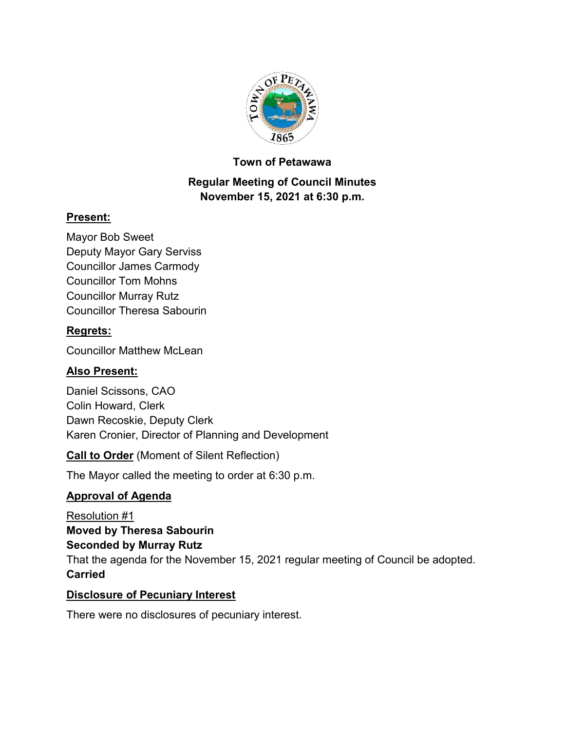

### **Town of Petawawa**

## **Regular Meeting of Council Minutes November 15, 2021 at 6:30 p.m.**

## **Present:**

Mayor Bob Sweet Deputy Mayor Gary Serviss Councillor James Carmody Councillor Tom Mohns Councillor Murray Rutz Councillor Theresa Sabourin

## **Regrets:**

Councillor Matthew McLean

## **Also Present:**

Daniel Scissons, CAO Colin Howard, Clerk Dawn Recoskie, Deputy Clerk Karen Cronier, Director of Planning and Development

**Call to Order** (Moment of Silent Reflection)

The Mayor called the meeting to order at 6:30 p.m.

## **Approval of Agenda**

Resolution #1 **Moved by Theresa Sabourin Seconded by Murray Rutz** That the agenda for the November 15, 2021 regular meeting of Council be adopted. **Carried**

### **Disclosure of Pecuniary Interest**

There were no disclosures of pecuniary interest.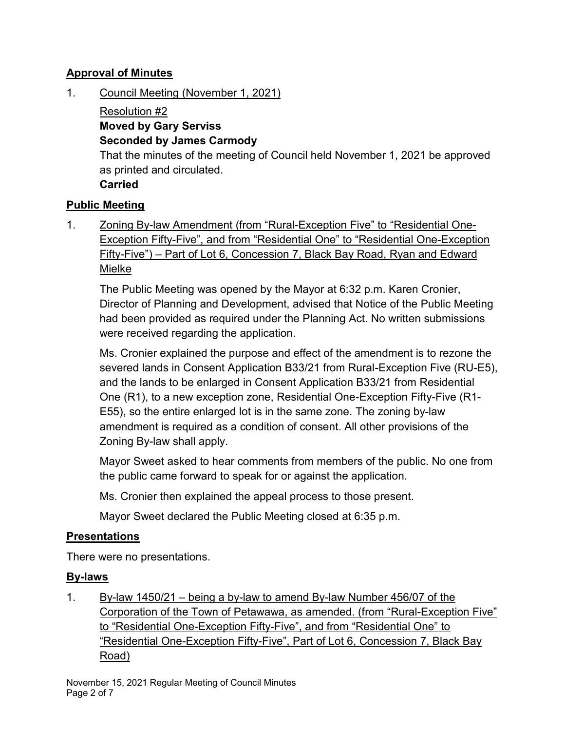### **Approval of Minutes**

1. Council Meeting (November 1, 2021)

Resolution #2 **Moved by Gary Serviss Seconded by James Carmody** That the minutes of the meeting of Council held November 1, 2021 be approved as printed and circulated. **Carried**

### **Public Meeting**

1. Zoning By-law Amendment (from "Rural-Exception Five" to "Residential One-Exception Fifty-Five", and from "Residential One" to "Residential One-Exception Fifty-Five") – Part of Lot 6, Concession 7, Black Bay Road, Ryan and Edward Mielke

The Public Meeting was opened by the Mayor at 6:32 p.m. Karen Cronier, Director of Planning and Development, advised that Notice of the Public Meeting had been provided as required under the Planning Act. No written submissions were received regarding the application.

Ms. Cronier explained the purpose and effect of the amendment is to rezone the severed lands in Consent Application B33/21 from Rural-Exception Five (RU-E5), and the lands to be enlarged in Consent Application B33/21 from Residential One (R1), to a new exception zone, Residential One-Exception Fifty-Five (R1- E55), so the entire enlarged lot is in the same zone. The zoning by-law amendment is required as a condition of consent. All other provisions of the Zoning By-law shall apply.

Mayor Sweet asked to hear comments from members of the public. No one from the public came forward to speak for or against the application.

Ms. Cronier then explained the appeal process to those present.

Mayor Sweet declared the Public Meeting closed at 6:35 p.m.

### **Presentations**

There were no presentations.

### **By-laws**

1. By-law 1450/21 – being a by-law to amend By-law Number 456/07 of the Corporation of the Town of Petawawa, as amended. (from "Rural-Exception Five" to "Residential One-Exception Fifty-Five", and from "Residential One" to "Residential One-Exception Fifty-Five", Part of Lot 6, Concession 7, Black Bay Road)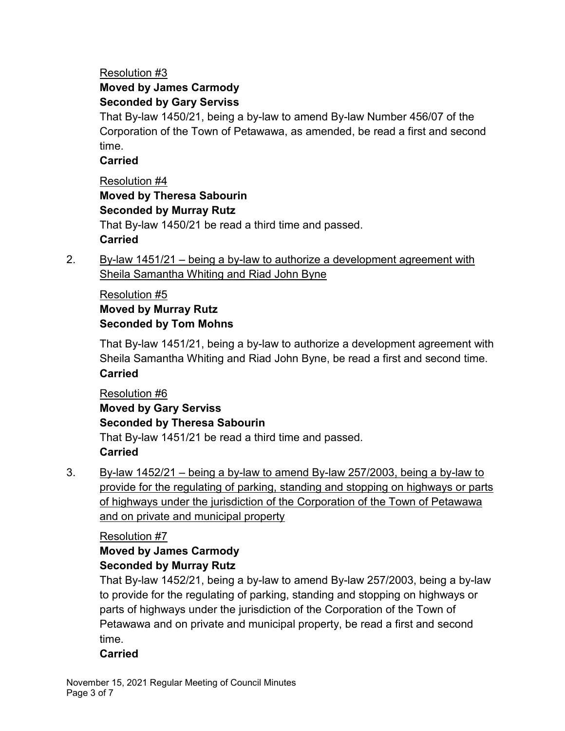#### Resolution #3 **Moved by James Carmody Seconded by Gary Serviss**

That By-law 1450/21, being a by-law to amend By-law Number 456/07 of the Corporation of the Town of Petawawa, as amended, be read a first and second time.

## **Carried**

Resolution #4 **Moved by Theresa Sabourin Seconded by Murray Rutz** That By-law 1450/21 be read a third time and passed. **Carried**

2. By-law 1451/21 – being a by-law to authorize a development agreement with Sheila Samantha Whiting and Riad John Byne

## Resolution #5 **Moved by Murray Rutz Seconded by Tom Mohns**

That By-law 1451/21, being a by-law to authorize a development agreement with Sheila Samantha Whiting and Riad John Byne, be read a first and second time. **Carried**

Resolution #6 **Moved by Gary Serviss Seconded by Theresa Sabourin** That By-law 1451/21 be read a third time and passed. **Carried**

3. By-law 1452/21 – being a by-law to amend By-law 257/2003, being a by-law to provide for the regulating of parking, standing and stopping on highways or parts of highways under the jurisdiction of the Corporation of the Town of Petawawa and on private and municipal property

## Resolution #7

# **Moved by James Carmody Seconded by Murray Rutz**

That By-law 1452/21, being a by-law to amend By-law 257/2003, being a by-law to provide for the regulating of parking, standing and stopping on highways or parts of highways under the jurisdiction of the Corporation of the Town of Petawawa and on private and municipal property, be read a first and second time.

## **Carried**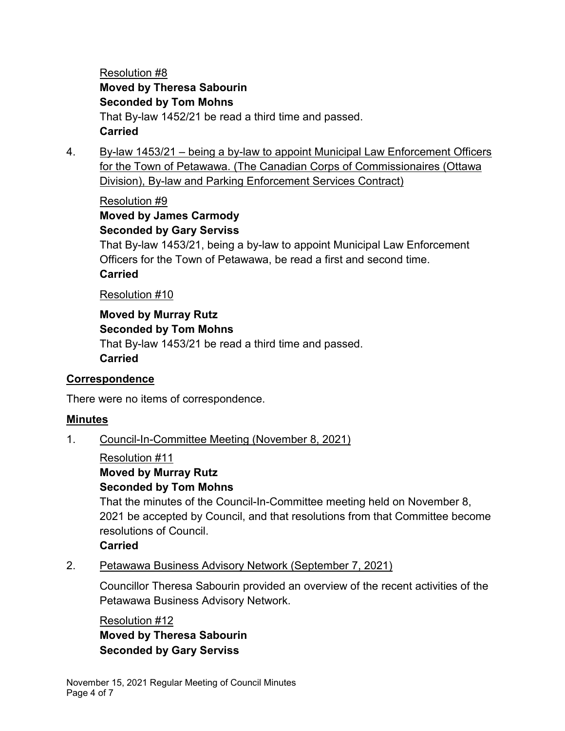Resolution #8 **Moved by Theresa Sabourin Seconded by Tom Mohns** That By-law 1452/21 be read a third time and passed. **Carried**

4. By-law 1453/21 – being a by-law to appoint Municipal Law Enforcement Officers for the Town of Petawawa. (The Canadian Corps of Commissionaires (Ottawa Division), By-law and Parking Enforcement Services Contract)

#### Resolution #9

### **Moved by James Carmody Seconded by Gary Serviss**

That By-law 1453/21, being a by-law to appoint Municipal Law Enforcement Officers for the Town of Petawawa, be read a first and second time. **Carried**

#### Resolution #10

#### **Moved by Murray Rutz Seconded by Tom Mohns**

That By-law 1453/21 be read a third time and passed. **Carried**

### **Correspondence**

There were no items of correspondence.

### **Minutes**

1. Council-In-Committee Meeting (November 8, 2021)

Resolution #11

## **Moved by Murray Rutz**

### **Seconded by Tom Mohns**

That the minutes of the Council-In-Committee meeting held on November 8, 2021 be accepted by Council, and that resolutions from that Committee become resolutions of Council.

### **Carried**

2. Petawawa Business Advisory Network (September 7, 2021)

Councillor Theresa Sabourin provided an overview of the recent activities of the Petawawa Business Advisory Network.

Resolution #12 **Moved by Theresa Sabourin Seconded by Gary Serviss**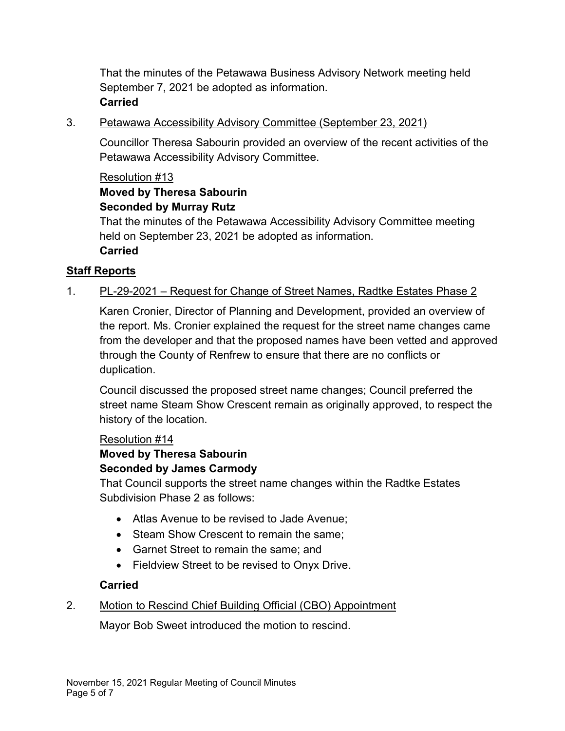That the minutes of the Petawawa Business Advisory Network meeting held September 7, 2021 be adopted as information. **Carried**

3. Petawawa Accessibility Advisory Committee (September 23, 2021)

Councillor Theresa Sabourin provided an overview of the recent activities of the Petawawa Accessibility Advisory Committee.

#### Resolution #13

#### **Moved by Theresa Sabourin Seconded by Murray Rutz**

That the minutes of the Petawawa Accessibility Advisory Committee meeting held on September 23, 2021 be adopted as information. **Carried**

### **Staff Reports**

### 1. PL-29-2021 – Request for Change of Street Names, Radtke Estates Phase 2

Karen Cronier, Director of Planning and Development, provided an overview of the report. Ms. Cronier explained the request for the street name changes came from the developer and that the proposed names have been vetted and approved through the County of Renfrew to ensure that there are no conflicts or duplication.

Council discussed the proposed street name changes; Council preferred the street name Steam Show Crescent remain as originally approved, to respect the history of the location.

### Resolution #14

## **Moved by Theresa Sabourin**

#### **Seconded by James Carmody**

That Council supports the street name changes within the Radtke Estates Subdivision Phase 2 as follows:

- · Atlas Avenue to be revised to Jade Avenue;
- Steam Show Crescent to remain the same:
- · Garnet Street to remain the same; and
- · Fieldview Street to be revised to Onyx Drive.

### **Carried**

### 2. Motion to Rescind Chief Building Official (CBO) Appointment

Mayor Bob Sweet introduced the motion to rescind.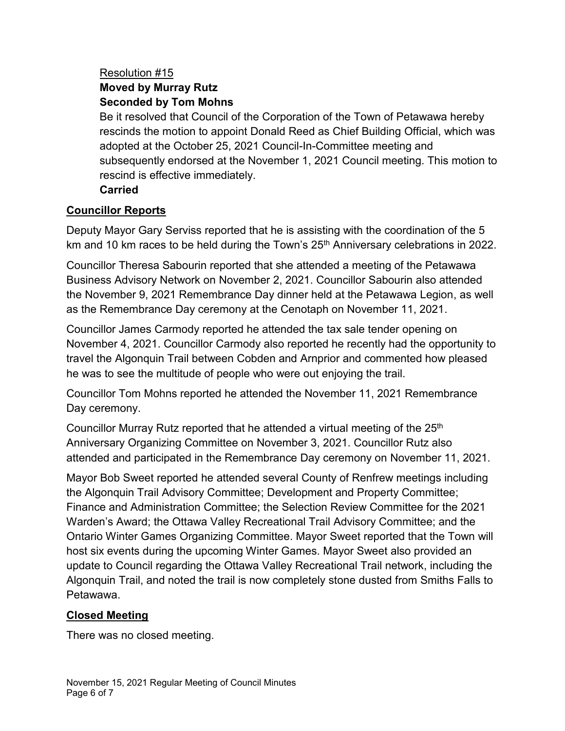### Resolution #15 **Moved by Murray Rutz Seconded by Tom Mohns**

Be it resolved that Council of the Corporation of the Town of Petawawa hereby rescinds the motion to appoint Donald Reed as Chief Building Official, which was adopted at the October 25, 2021 Council-In-Committee meeting and subsequently endorsed at the November 1, 2021 Council meeting. This motion to rescind is effective immediately.

### **Carried**

## **Councillor Reports**

Deputy Mayor Gary Serviss reported that he is assisting with the coordination of the 5 km and 10 km races to be held during the Town's 25<sup>th</sup> Anniversary celebrations in 2022.

Councillor Theresa Sabourin reported that she attended a meeting of the Petawawa Business Advisory Network on November 2, 2021. Councillor Sabourin also attended the November 9, 2021 Remembrance Day dinner held at the Petawawa Legion, as well as the Remembrance Day ceremony at the Cenotaph on November 11, 2021.

Councillor James Carmody reported he attended the tax sale tender opening on November 4, 2021. Councillor Carmody also reported he recently had the opportunity to travel the Algonquin Trail between Cobden and Arnprior and commented how pleased he was to see the multitude of people who were out enjoying the trail.

Councillor Tom Mohns reported he attended the November 11, 2021 Remembrance Day ceremony.

Councillor Murray Rutz reported that he attended a virtual meeting of the  $25<sup>th</sup>$ Anniversary Organizing Committee on November 3, 2021. Councillor Rutz also attended and participated in the Remembrance Day ceremony on November 11, 2021.

Mayor Bob Sweet reported he attended several County of Renfrew meetings including the Algonquin Trail Advisory Committee; Development and Property Committee; Finance and Administration Committee; the Selection Review Committee for the 2021 Warden's Award; the Ottawa Valley Recreational Trail Advisory Committee; and the Ontario Winter Games Organizing Committee. Mayor Sweet reported that the Town will host six events during the upcoming Winter Games. Mayor Sweet also provided an update to Council regarding the Ottawa Valley Recreational Trail network, including the Algonquin Trail, and noted the trail is now completely stone dusted from Smiths Falls to Petawawa.

## **Closed Meeting**

There was no closed meeting.